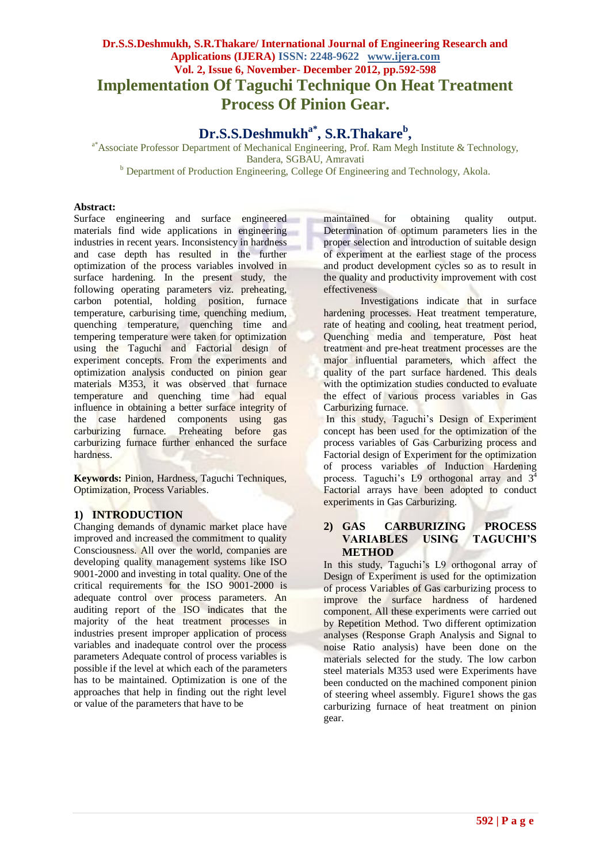# **Dr.S.S.Deshmukh, S.R.Thakare/ International Journal of Engineering Research and Applications (IJERA) ISSN: 2248-9622 www.ijera.com Vol. 2, Issue 6, November- December 2012, pp.592-598 Implementation Of Taguchi Technique On Heat Treatment Process Of Pinion Gear.**

# **Dr.S.S.Deshmukha\*, S.R.Thakare<sup>b</sup> ,**

<sup>a\*</sup>Associate Professor Department of Mechanical Engineering, Prof. Ram Megh Institute & Technology, Bandera, SGBAU, Amravati **b** Department of Production Engineering, College Of Engineering and Technology, Akola.

#### **Abstract:**

Surface engineering and surface engineered materials find wide applications in engineering industries in recent years. Inconsistency in hardness and case depth has resulted in the further optimization of the process variables involved in surface hardening. In the present study, the following operating parameters viz. preheating, carbon potential, holding position, furnace temperature, carburising time, quenching medium, quenching temperature, quenching time and tempering temperature were taken for optimization using the Taguchi and Factorial design of experiment concepts. From the experiments and optimization analysis conducted on pinion gear materials M353, it was observed that furnace temperature and quenching time had equal influence in obtaining a better surface integrity of the case hardened components using gas carburizing furnace. Preheating before gas carburizing furnace further enhanced the surface hardness.

**Keywords:** Pinion, Hardness, Taguchi Techniques, Optimization, Process Variables.

## **1) INTRODUCTION**

Changing demands of dynamic market place have improved and increased the commitment to quality Consciousness. All over the world, companies are developing quality management systems like ISO 9001-2000 and investing in total quality. One of the critical requirements for the ISO 9001-2000 is adequate control over process parameters. An auditing report of the ISO indicates that the majority of the heat treatment processes in industries present improper application of process variables and inadequate control over the process parameters Adequate control of process variables is possible if the level at which each of the parameters has to be maintained. Optimization is one of the approaches that help in finding out the right level or value of the parameters that have to be

maintained for obtaining quality output. Determination of optimum parameters lies in the proper selection and introduction of suitable design of experiment at the earliest stage of the process and product development cycles so as to result in the quality and productivity improvement with cost effectiveness

Investigations indicate that in surface hardening processes. Heat treatment temperature, rate of heating and cooling, heat treatment period, Quenching media and temperature, Post heat treatment and pre-heat treatment processes are the major influential parameters, which affect the quality of the part surface hardened. This deals with the optimization studies conducted to evaluate the effect of various process variables in Gas Carburizing furnace.

In this study, Taguchi's Design of Experiment concept has been used for the optimization of the process variables of Gas Carburizing process and Factorial design of Experiment for the optimization of process variables of Induction Hardening process. Taguchi's L9 orthogonal array and  $3<sup>4</sup>$ Factorial arrays have been adopted to conduct experiments in Gas Carburizing.

## **2) GAS CARBURIZING PROCESS VARIABLES USING TAGUCHI'S METHOD**

In this study, Taguchi's L9 orthogonal array of Design of Experiment is used for the optimization of process Variables of Gas carburizing process to improve the surface hardness of hardened component. All these experiments were carried out by Repetition Method. Two different optimization analyses (Response Graph Analysis and Signal to noise Ratio analysis) have been done on the materials selected for the study. The low carbon steel materials M353 used were Experiments have been conducted on the machined component pinion of steering wheel assembly. Figure1 shows the gas carburizing furnace of heat treatment on pinion gear.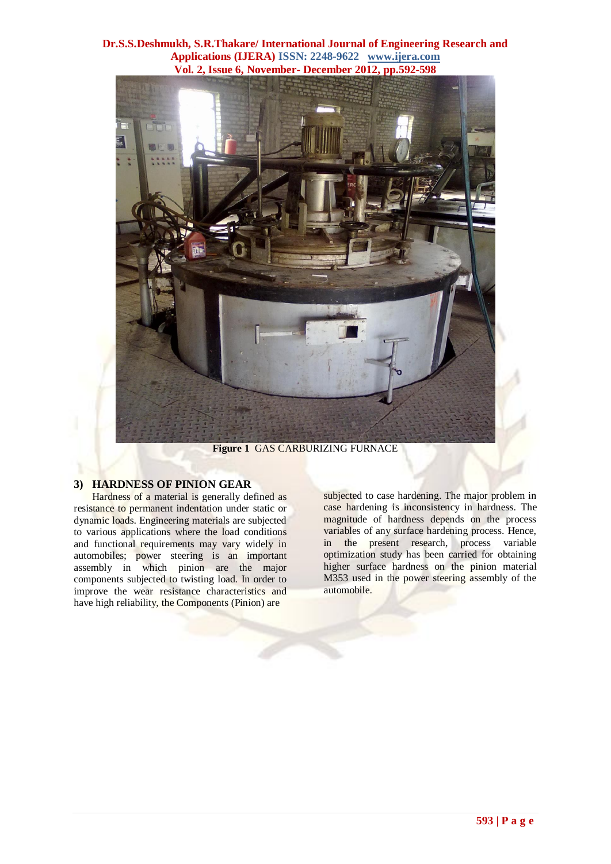

**Figure 1** GAS CARBURIZING FURNACE

## **3) HARDNESS OF PINION GEAR**

Hardness of a material is generally defined as resistance to permanent indentation under static or dynamic loads. Engineering materials are subjected to various applications where the load conditions and functional requirements may vary widely in automobiles; power steering is an important assembly in which pinion are the major components subjected to twisting load. In order to improve the wear resistance characteristics and have high reliability, the Components (Pinion) are

subjected to case hardening. The major problem in case hardening is inconsistency in hardness. The magnitude of hardness depends on the process variables of any surface hardening process. Hence, in the present research, process variable optimization study has been carried for obtaining higher surface hardness on the pinion material M353 used in the power steering assembly of the automobile.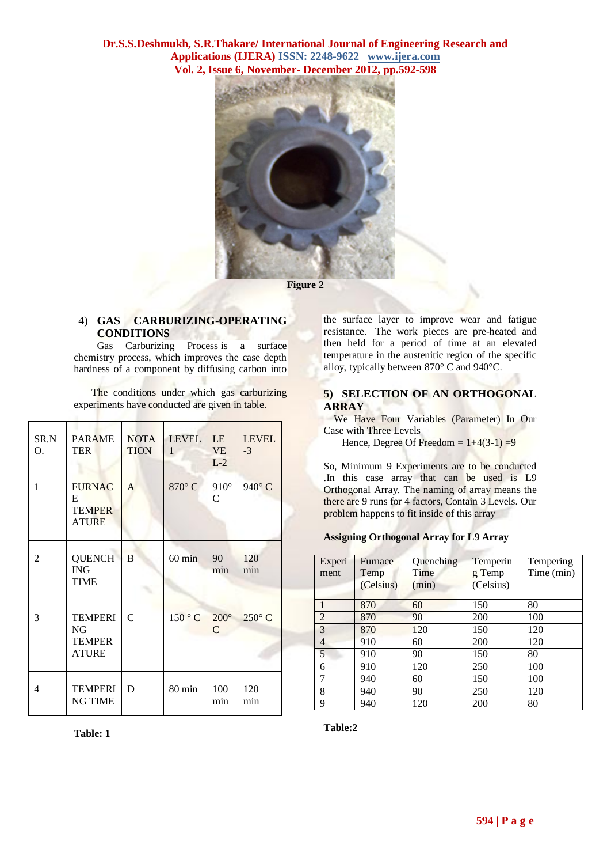

# 4) **GAS CARBURIZING-OPERATING CONDITIONS**

Gas Carburizing Process is a surface chemistry process, which improves the case depth hardness of a component by diffusing carbon into

The conditions under which gas carburizing experiments have conducted are given in table.

| SR.N<br>O. | <b>PARAME</b><br><b>TER</b>                            | <b>NOTA</b><br><b>TION</b> | <b>LEVEL</b><br>$\mathbf{1}$ | LE<br><b>VE</b><br>$L-2$      | <b>LEVEL</b><br>$-3$ |
|------------|--------------------------------------------------------|----------------------------|------------------------------|-------------------------------|----------------------|
| 1          | <b>FURNAC</b><br>E<br><b>TEMPER</b><br><b>ATURE</b>    | A                          | 870°C                        | $910^\circ$<br>$\overline{C}$ | 940°C                |
| 2          | <b>QUENCH</b><br><b>ING</b><br><b>TIME</b>             | B                          | $60 \text{ min}$             | 90<br>min                     | 120<br>min           |
| 3          | <b>TEMPERI</b><br>NG.<br><b>TEMPER</b><br><b>ATURE</b> | $\mathcal{C}$              | 150°C                        | $200^\circ$<br>$\mathsf{C}$   | $250^{\circ}$ C      |
| 4          | <b>TEMPERI</b><br><b>NG TIME</b>                       | D                          | 80 min                       | 100<br>min                    | 120<br>min           |

**Table: 1**

the surface layer to improve wear and fatigue resistance. The work pieces are pre-heated and then held for a period of time at an elevated temperature in the austenitic region of the specific alloy, typically between 870° C and 940°C.

#### **5) SELECTION OF AN ORTHOGONAL ARRAY**

 We Have Four Variables (Parameter) In Our Case with Three Levels

Hence, Degree Of Freedom =  $1+4(3-1) = 9$ 

So, Minimum 9 Experiments are to be conducted .In this case array that can be used is L9 Orthogonal Array. The naming of array means the there are 9 runs for 4 factors, Contain 3 Levels. Our problem happens to fit inside of this array

#### **Assigning Orthogonal Array fo[r L9 Array](http://controls.engin.umich.edu/wiki/images/d/db/L9_Array.jpg)**

| Experi<br>ment | Furnace<br>Temp<br>(Celsius) | Quenching<br>Time<br>(min) | Temperin<br>g Temp<br>(Celsius) | Tempering<br>Time (min) |
|----------------|------------------------------|----------------------------|---------------------------------|-------------------------|
|                | 870                          | 60                         | 150                             | 80                      |
| $\overline{2}$ | 870                          | 90                         | 200                             | 100                     |
| 3              | 870                          | 120                        | 150                             | 120                     |
| $\overline{4}$ | 910                          | 60                         | 200                             | 120                     |
| 5              | 910                          | 90                         | 150                             | 80                      |
| 6              | 910                          | 120                        | 250                             | 100                     |
| 7              | 940                          | 60                         | 150                             | 100                     |
| 8              | 940                          | 90                         | 250                             | 120                     |
| 9              | 940                          | 120                        | 200                             | 80                      |

**Table:2**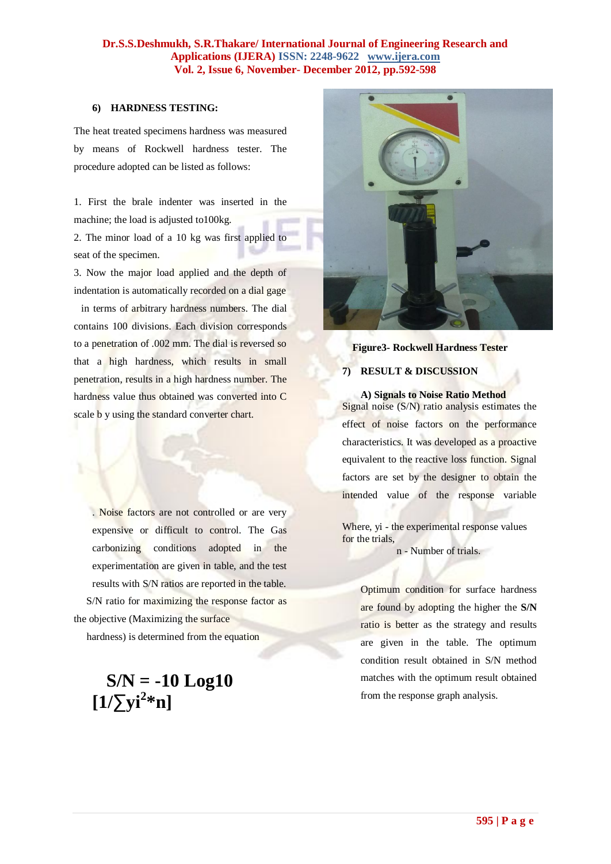## **6) HARDNESS TESTING:**

The heat treated specimens hardness was measured by means of Rockwell hardness tester. The procedure adopted can be listed as follows:

1. First the brale indenter was inserted in the machine; the load is adjusted to100kg.

2. The minor load of a 10 kg was first applied to seat of the specimen.

3. Now the major load applied and the depth of indentation is automatically recorded on a dial gage in terms of arbitrary hardness numbers. The dial

contains 100 divisions. Each division corresponds to a penetration of .002 mm. The dial is reversed so that a high hardness, which results in small penetration, results in a high hardness number. The hardness value thus obtained was converted into C scale b y using the standard converter chart.

. Noise factors are not controlled or are very expensive or difficult to control. The Gas carbonizing conditions adopted in the experimentation are given in table, and the test results with S/N ratios are reported in the table. S/N ratio for maximizing the response factor as the objective (Maximizing the surface

hardness) is determined from the equation

# **S/N = -10 Log10**   $[1/\sum y i^{2*} n]$



# **Figure3- Rockwell Hardness Tester**

# **7) RESULT & DISCUSSION**

**A) Signals to Noise Ratio Method** Signal noise  $(S/N)$  ratio analysis estimates the effect of noise factors on the performance characteristics. It was developed as a proactive equivalent to the reactive loss function. Signal factors are set by the designer to obtain the intended value of the response variable

Where, yi - the experimental response values for the trials,

n - Number of trials.

Optimum condition for surface hardness are found by adopting the higher the **S/N**  ratio is better as the strategy and results are given in the table. The optimum condition result obtained in S/N method matches with the optimum result obtained from the response graph analysis.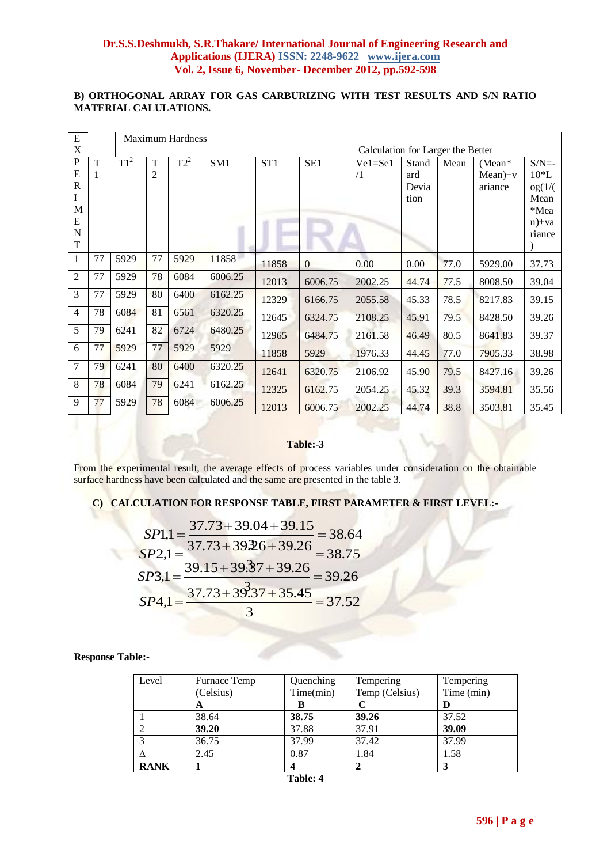# **B) ORTHOGONAL ARRAY FOR GAS CARBURIZING WITH TEST RESULTS AND S/N RATIO MATERIAL CALULATIONS.**

| ${\bf E}$      |              | <b>Maximum Hardness</b> |                |        |                 |                 |                 |                                   |       |      |           |            |
|----------------|--------------|-------------------------|----------------|--------|-----------------|-----------------|-----------------|-----------------------------------|-------|------|-----------|------------|
| X              |              |                         |                |        |                 |                 |                 | Calculation for Larger the Better |       |      |           |            |
| ${\bf P}$      | $\mathbf T$  | $T1^2$                  | T              | $T2^2$ | SM <sub>1</sub> | ST <sub>1</sub> | SE <sub>1</sub> | $Ve1 = Se1$                       | Stand | Mean | $(Mean*$  | $S/N=$     |
| ${\bf E}$      | $\mathbf{1}$ |                         | $\overline{c}$ |        |                 |                 |                 | $\sqrt{1}$                        | ard   |      | $Mean)+v$ | $10^*$ L   |
| $\mathbf R$    |              |                         |                |        |                 |                 |                 |                                   | Devia |      | ariance   | og(1/(     |
| $\mathbf I$    |              |                         |                |        |                 |                 |                 |                                   | tion  |      |           | Mean       |
| M              |              |                         |                |        |                 |                 |                 |                                   |       |      |           | *Mea       |
| ${\bf E}$      |              |                         |                |        |                 |                 |                 |                                   |       |      |           | $n$ + $va$ |
| $\mathbf N$    |              |                         |                |        |                 |                 |                 |                                   |       |      |           | riance     |
| $\mathbf T$    |              |                         |                |        |                 |                 |                 |                                   |       |      |           |            |
| $\mathbf{1}$   | 77           | 5929                    | 77             | 5929   | 11858           | 11858           | $\overline{0}$  | 0.00                              | 0.00  | 77.0 | 5929.00   | 37.73      |
| $\overline{2}$ | 77           | 5929                    | 78             | 6084   | 6006.25         | 12013           | 6006.75         | 2002.25                           | 44.74 | 77.5 | 8008.50   | 39.04      |
| 3              | 77           | 5929                    | 80             | 6400   | 6162.25         | 12329           | 6166.75         | 2055.58                           | 45.33 | 78.5 | 8217.83   | 39.15      |
| $\overline{4}$ | 78           | 6084                    | 81             | 6561   | 6320.25         | 12645           | 6324.75         | 2108.25                           | 45.91 | 79.5 | 8428.50   | 39.26      |
| 5              | 79           | 6241                    | 82             | 6724   | 6480.25         | 12965           | 6484.75         | 2161.58                           | 46.49 | 80.5 | 8641.83   | 39.37      |
| 6              | 77           | 5929                    | 77             | 5929   | 5929            | 11858           | 5929            | 1976.33                           | 44.45 | 77.0 | 7905.33   | 38.98      |
| $\overline{7}$ | 79           | 6241                    | 80             | 6400   | 6320.25         | 12641           | 6320.75         | 2106.92                           | 45.90 | 79.5 | 8427.16   | 39.26      |
| 8              | 78           | 6084                    | 79             | 6241   | 6162.25         | 12325           | 6162.75         | 2054.25                           | 45.32 | 39.3 | 3594.81   | 35.56      |
| 9              | 77           | 5929                    | 78             | 6084   | 6006.25         | 12013           | 6006.75         | 2002.25                           | 44.74 | 38.8 | 3503.81   | 35.45      |

#### **Table:-3**

From the experimental result, the average effects of process variables under consideration on the obtainable surface hardness have been calculated and the same are presented in the table 3.

# **C) CALCULATION FOR RESPONSE TABLE, FIRST PARAMETER & FIRST LEVEL:-**

$$
SP1,1 = \frac{37.73 + 39.04 + 39.15}{37.73 + 39.26 + 39.26} = 38.64
$$
  
\n
$$
SP2,1 = \frac{37.73 + 39.26 + 39.26}{3} = 38.75
$$
  
\n
$$
SP3,1 = \frac{39.15 + 39.37 + 39.26}{3} = 39.26
$$
  
\n
$$
SP4,1 = \frac{37.73 + 39.37 + 35.45}{3} = 37.52
$$

#### **Response Table:-**

| Level       | Furnace Temp | Quenching | Tempering      | Tempering  |
|-------------|--------------|-----------|----------------|------------|
|             | (Celsius)    | Time(min) | Temp (Celsius) | Time (min) |
|             | A            |           |                |            |
|             | 38.64        | 38.75     | 39.26          | 37.52      |
|             | 39.20        | 37.88     | 37.91          | 39.09      |
|             | 36.75        | 37.99     | 37.42          | 37.99      |
|             | 2.45         | 0.87      | 1.84           | 1.58       |
| <b>RANK</b> |              |           |                |            |

**Table: 4**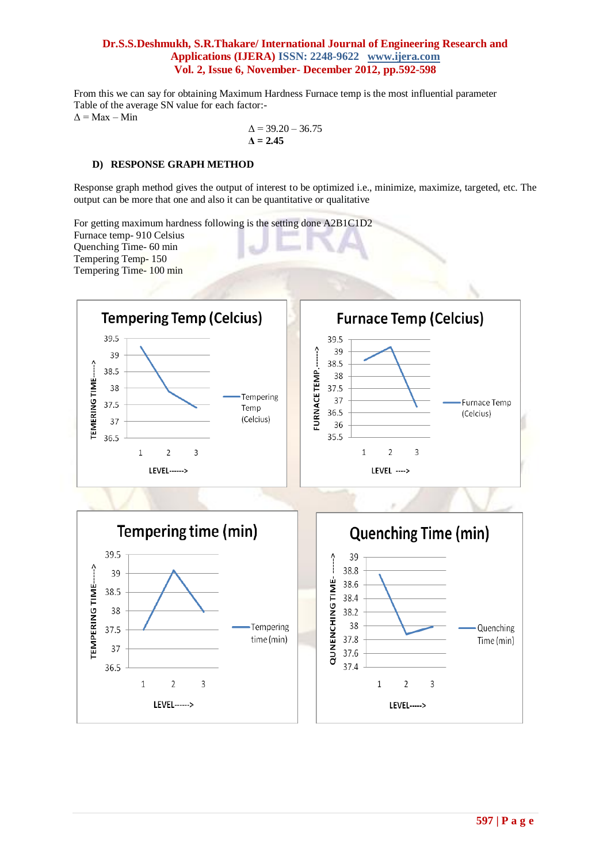From this we can say for obtaining Maximum Hardness Furnace temp is the most influential parameter Table of the average SN value for each factor:-  $\Delta$  = Max – Min

$$
\Delta = 39.20 - 36.75
$$
  

$$
\Delta = 2.45
$$

#### **D) RESPONSE GRAPH METHOD**

Response graph method gives the output of interest to be optimized i.e., minimize, maximize, targeted, etc. The output can be more that one and also it can be quantitative or qualitative

For getting maximum hardness following is the setting done A2B1C1D2 Furnace temp- 910 Celsius Quenching Time- 60 min Tempering Temp- 150 Tempering Time- 100 min